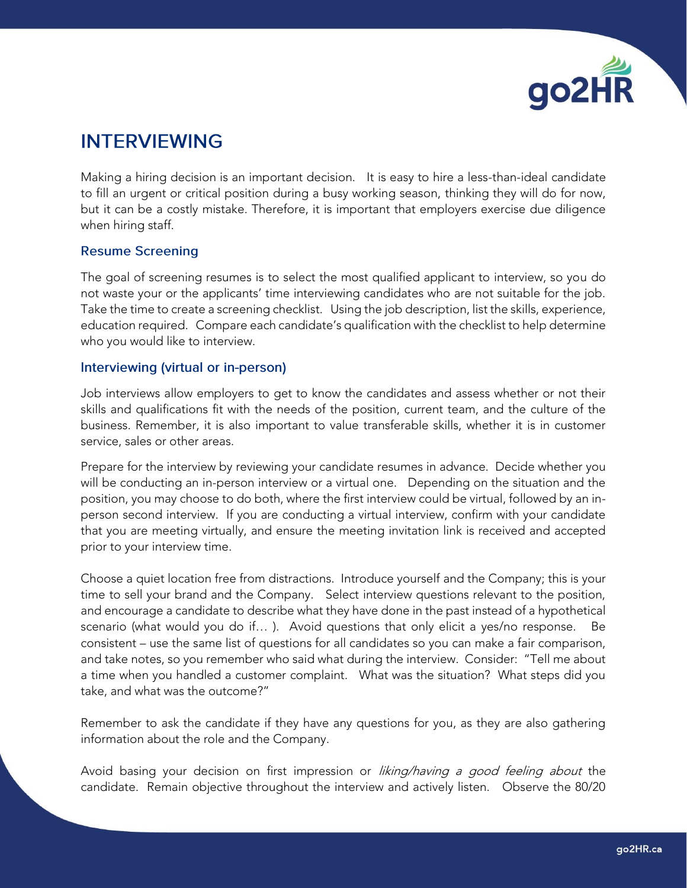

## **INTERVIEWING**

Making a hiring decision is an important decision. It is easy to hire a less-than-ideal candidate to fill an urgent or critical position during a busy working season, thinking they will do for now, but it can be a costly mistake. Therefore, it is important that employers exercise due diligence when hiring staff.

## **Resume Screening**

The goal of screening resumes is to select the most qualified applicant to interview, so you do not waste your or the applicants' time interviewing candidates who are not suitable for the job. Take the time to create a screening checklist. Using the job description, list the skills, experience, education required. Compare each candidate's qualification with the checklist to help determine who you would like to interview.

## Interviewing (virtual or in-person)

Job interviews allow employers to get to know the candidates and assess whether or not their skills and qualifications fit with the needs of the position, current team, and the culture of the business. Remember, it is also important to value transferable skills, whether it is in customer service, sales or other areas.

Prepare for the interview by reviewing your candidate resumes in advance. Decide whether you will be conducting an in-person interview or a virtual one. Depending on the situation and the position, you may choose to do both, where the first interview could be virtual, followed by an inperson second interview. If you are conducting a virtual interview, confirm with your candidate that you are meeting virtually, and ensure the meeting invitation link is received and accepted prior to your interview time.

Choose a quiet location free from distractions. Introduce yourself and the Company; this is your time to sell your brand and the Company. Select interview questions relevant to the position, and encourage a candidate to describe what they have done in the past instead of a hypothetical scenario (what would you do if… ). Avoid questions that only elicit a yes/no response. Be consistent – use the same list of questions for all candidates so you can make a fair comparison, and take notes, so you remember who said what during the interview. Consider: "Tell me about a time when you handled a customer complaint. What was the situation? What steps did you take, and what was the outcome?"

Remember to ask the candidate if they have any questions for you, as they are also gathering information about the role and the Company.

Avoid basing your decision on first impression or liking/having a good feeling about the candidate. Remain objective throughout the interview and actively listen. Observe the 80/20